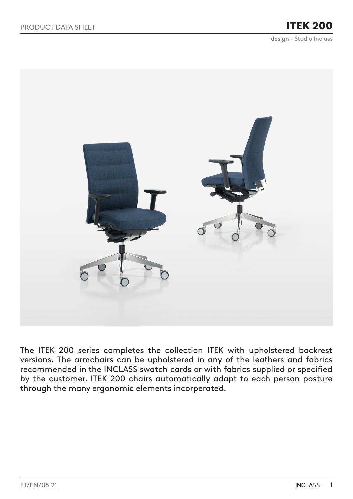# ITEK 200

design - Studio Inclass



The ITEK 200 series completes the collection ITEK with upholstered backrest versions. The armchairs can be upholstered in any of the leathers and fabrics recommended in the INCLASS swatch cards or with fabrics supplied or specified by the customer. ITEK 200 chairs automatically adapt to each person posture through the many ergonomic elements incorperated.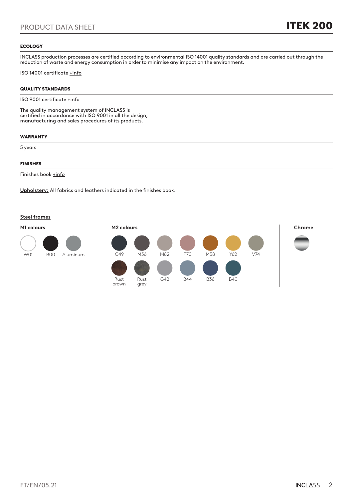#### **ECOLOGY**

INCLASS production processes are certified according to environmental ISO 14001 quality standards and are carried out through the reduction of waste and energy consumption in order to minimise any impact on the environment.

ISO 14001 certificate [+info](https://inclass.es/wp-content/files_mf/1589894317INCLASS_ISO14001_2019.pdf)

### QUALITY STANDARDS

ISO 9001 certificate [+info](https://inclass.es/wp-content/files_mf/1587536904INCLASS_ISO9001_2019.pdf)

The quality management system of INCLASS is certified in accordance with ISO 9001 in all the design, manufacturing and sales procedures of its products.

#### WARRANTY

5 years

### FINISHES

Finishes book [+info](https://inclass.es/wp-content/files_mf/1580386379ITEK200SwatchBook.pdf)

**Upholstery:** All fabrics and leathers indicated in the finishes book.

#### **Steel frames**

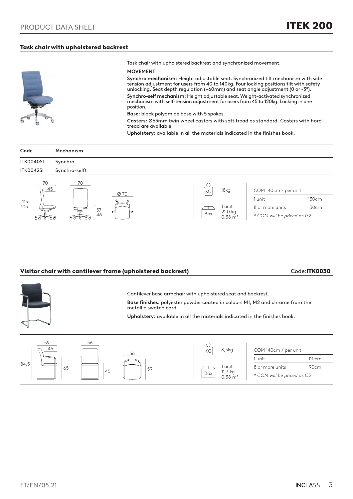## Task chair with upholstered backrest



Task chair with upholstered backrest and synchronized movement.

#### **MOVEMENT**

**Synchro mechanism:** Height adjustable seat. Synchronized tilt mechanism with side tension adjustment for users from 40 to 140kg. Four locking positions tilt with safety unlocking. Seat depth regulation (+60mm) and seat angle adjustment (0 or -3º). **Synchro-self mechanism:** Height adjustable seat. Weight-activated synchronized mechanism with self-tension adjustment for users from 45 to 120kg. Locking in one position.

**Base:** black polyamide base with 5 spokes.

**Casters:** Ø65mm twin wheel casters with soft tread as standard. Casters with hard tread are available.

> 1 unit 11,3 kg  $0,38 \text{ m}^3$

Box

**Upholstery:** available in all the materials indicated in the finishes book.

| Code      | <b>Mechanism</b> |                                      |                            |       |
|-----------|------------------|--------------------------------------|----------------------------|-------|
| ITK0040SI | Synchro          |                                      |                            |       |
| ITK0042SI | Synchro-selft    |                                      |                            |       |
| 70<br>45  | 70<br>Ø 70       | 18kg<br>KG                           | COM 140cm / per unit       |       |
| 113       |                  |                                      | 1 unit                     | 130cm |
| 103       | $=$<br>57        | 1 unit                               | 8 or more units            | 130cm |
|           | ø<br>r.<br>46    | 21,0 kg<br>Box<br>$0,38 \text{ m}^3$ | * COM will be priced as G2 |       |

# Visitor chair with cantilever frame (upholstered backrest) Code:ITK0030

45

1 unit 110cm 8 or more units 90cm *\* COM will be priced as G2*



59

65

84,5